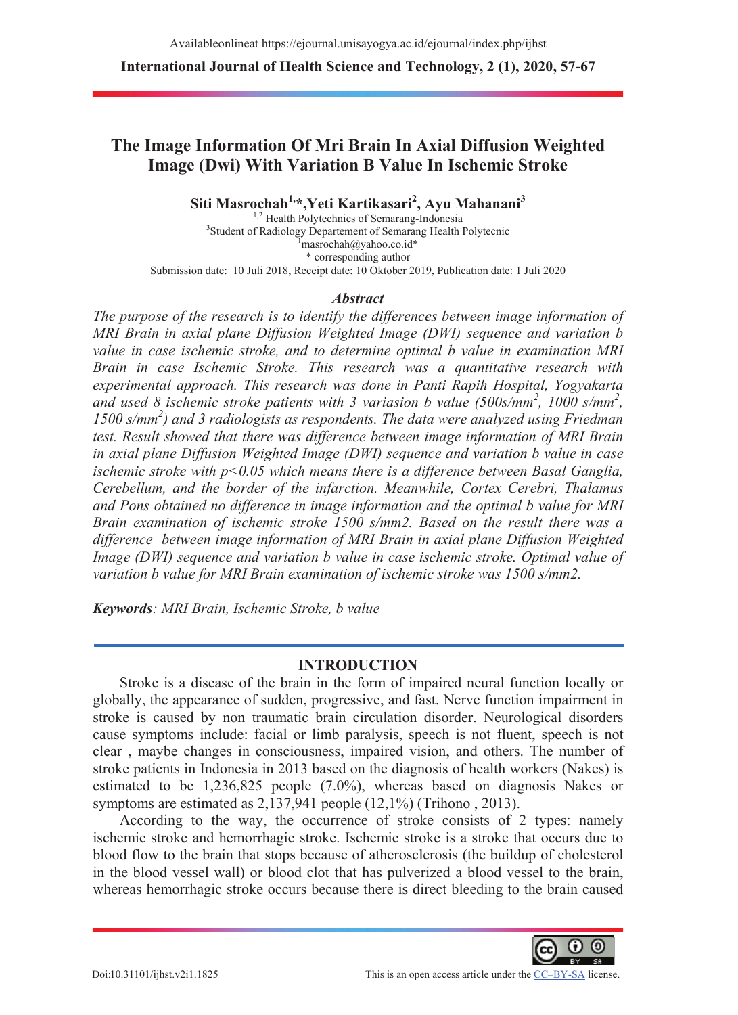**International Journal of Health Science and Technology, 2 (1), 2020, 57-67** 

# **The Image Information Of Mri Brain In Axial Diffusion Weighted Image (Dwi) With Variation B Value In Ischemic Stroke**

**Siti Masrochah1,\*,Yeti Kartikasari2 , Ayu Mahanani3**

<sup>1,2</sup> Health Polytechnics of Semarang-Indonesia <sup>3</sup>Student of Radiology Departement of Semarang Health Polytecnic masrochah@yahoo.co.id\* \* corresponding author Submission date: 10 Juli 2018, Receipt date: 10 Oktober 2019, Publication date: 1 Juli 2020

### *Abstract*

*The purpose of the research is to identify the differences between image information of MRI Brain in axial plane Diffusion Weighted Image (DWI) sequence and variation b value in case ischemic stroke, and to determine optimal b value in examination MRI Brain in case Ischemic Stroke. This research was a quantitative research with experimental approach. This research was done in Panti Rapih Hospital, Yogyakarta and used 8 ischemic stroke patients with 3 variasion b value (500s/mm<sup>2</sup> , 1000 s/mm<sup>2</sup> ,* 1500 s/mm<sup>2</sup>) and 3 radiologists as respondents. The data were analyzed using Friedman *test. Result showed that there was difference between image information of MRI Brain in axial plane Diffusion Weighted Image (DWI) sequence and variation b value in case ischemic stroke with p<0.05 which means there is a difference between Basal Ganglia, Cerebellum, and the border of the infarction. Meanwhile, Cortex Cerebri, Thalamus and Pons obtained no difference in image information and the optimal b value for MRI Brain examination of ischemic stroke 1500 s/mm2. Based on the result there was a difference between image information of MRI Brain in axial plane Diffusion Weighted Image (DWI) sequence and variation b value in case ischemic stroke. Optimal value of variation b value for MRI Brain examination of ischemic stroke was 1500 s/mm2.* 

*Keywords: MRI Brain, Ischemic Stroke, b value* 

### **INTRODUCTION**

Stroke is a disease of the brain in the form of impaired neural function locally or globally, the appearance of sudden, progressive, and fast. Nerve function impairment in stroke is caused by non traumatic brain circulation disorder. Neurological disorders cause symptoms include: facial or limb paralysis, speech is not fluent, speech is not clear , maybe changes in consciousness, impaired vision, and others. The number of stroke patients in Indonesia in 2013 based on the diagnosis of health workers (Nakes) is estimated to be 1,236,825 people (7.0%), whereas based on diagnosis Nakes or symptoms are estimated as 2,137,941 people (12,1%) (Trihono , 2013).

According to the way, the occurrence of stroke consists of 2 types: namely ischemic stroke and hemorrhagic stroke. Ischemic stroke is a stroke that occurs due to blood flow to the brain that stops because of atherosclerosis (the buildup of cholesterol in the blood vessel wall) or blood clot that has pulverized a blood vessel to the brain, whereas hemorrhagic stroke occurs because there is direct bleeding to the brain caused

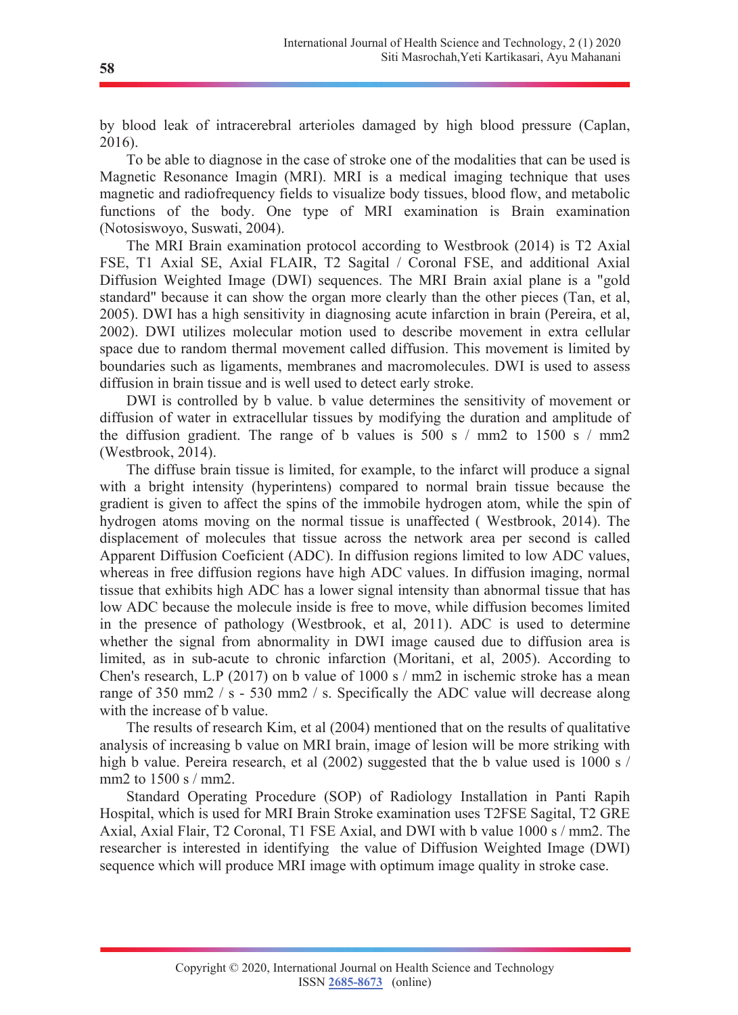by blood leak of intracerebral arterioles damaged by high blood pressure (Caplan, 2016).

To be able to diagnose in the case of stroke one of the modalities that can be used is Magnetic Resonance Imagin (MRI). MRI is a medical imaging technique that uses magnetic and radiofrequency fields to visualize body tissues, blood flow, and metabolic functions of the body. One type of MRI examination is Brain examination (Notosiswoyo, Suswati, 2004).

The MRI Brain examination protocol according to Westbrook (2014) is T2 Axial FSE, T1 Axial SE, Axial FLAIR, T2 Sagital / Coronal FSE, and additional Axial Diffusion Weighted Image (DWI) sequences. The MRI Brain axial plane is a "gold standard" because it can show the organ more clearly than the other pieces (Tan, et al, 2005). DWI has a high sensitivity in diagnosing acute infarction in brain (Pereira, et al, 2002). DWI utilizes molecular motion used to describe movement in extra cellular space due to random thermal movement called diffusion. This movement is limited by boundaries such as ligaments, membranes and macromolecules. DWI is used to assess diffusion in brain tissue and is well used to detect early stroke.

DWI is controlled by b value. b value determines the sensitivity of movement or diffusion of water in extracellular tissues by modifying the duration and amplitude of the diffusion gradient. The range of b values is 500 s / mm2 to 1500 s / mm2 (Westbrook, 2014).

The diffuse brain tissue is limited, for example, to the infarct will produce a signal with a bright intensity (hyperintens) compared to normal brain tissue because the gradient is given to affect the spins of the immobile hydrogen atom, while the spin of hydrogen atoms moving on the normal tissue is unaffected ( Westbrook, 2014). The displacement of molecules that tissue across the network area per second is called Apparent Diffusion Coeficient (ADC). In diffusion regions limited to low ADC values, whereas in free diffusion regions have high ADC values. In diffusion imaging, normal tissue that exhibits high ADC has a lower signal intensity than abnormal tissue that has low ADC because the molecule inside is free to move, while diffusion becomes limited in the presence of pathology (Westbrook, et al, 2011). ADC is used to determine whether the signal from abnormality in DWI image caused due to diffusion area is limited, as in sub-acute to chronic infarction (Moritani, et al, 2005). According to Chen's research, L.P (2017) on b value of 1000 s / mm2 in ischemic stroke has a mean range of 350 mm2 / s - 530 mm2 / s. Specifically the ADC value will decrease along with the increase of b value.

The results of research Kim, et al (2004) mentioned that on the results of qualitative analysis of increasing b value on MRI brain, image of lesion will be more striking with high b value. Pereira research, et al (2002) suggested that the b value used is 1000 s / mm2 to 1500 s / mm2.

Standard Operating Procedure (SOP) of Radiology Installation in Panti Rapih Hospital, which is used for MRI Brain Stroke examination uses T2FSE Sagital, T2 GRE Axial, Axial Flair, T2 Coronal, T1 FSE Axial, and DWI with b value 1000 s / mm2. The researcher is interested in identifying the value of Diffusion Weighted Image (DWI) sequence which will produce MRI image with optimum image quality in stroke case.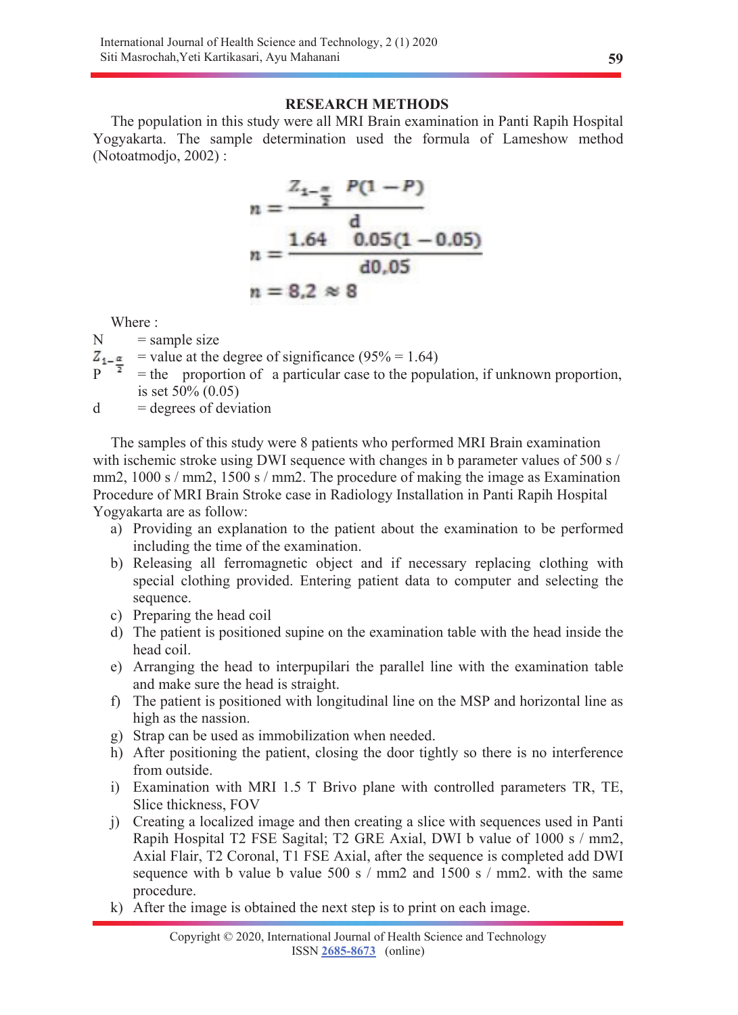## **RESEARCH METHODS**

The population in this study were all MRI Brain examination in Panti Rapih Hospital Yogyakarta. The sample determination used the formula of Lameshow method (Notoatmodjo, 2002) :

$$
n = \frac{Z_{1-\frac{\pi}{2}} P(1-P)}{d}
$$
  
n = 
$$
\frac{1.64 \cdot 0.05(1-0.05)}{d0.05}
$$
  
n = 8.2 \approx 8

Where :

 $N =$ sample size

- $Z_{1}$  = value at the degree of significance (95% = 1.64)
- $P^{\dagger}$  = the proportion of a particular case to the population, if unknown proportion, is set 50% (0.05)
- $d =$  degrees of deviation

The samples of this study were 8 patients who performed MRI Brain examination with ischemic stroke using DWI sequence with changes in b parameter values of 500 s / mm2, 1000 s / mm2, 1500 s / mm2. The procedure of making the image as Examination Procedure of MRI Brain Stroke case in Radiology Installation in Panti Rapih Hospital Yogyakarta are as follow:

- a) Providing an explanation to the patient about the examination to be performed including the time of the examination.
- b) Releasing all ferromagnetic object and if necessary replacing clothing with special clothing provided. Entering patient data to computer and selecting the sequence.
- c) Preparing the head coil
- d) The patient is positioned supine on the examination table with the head inside the head coil.
- e) Arranging the head to interpupilari the parallel line with the examination table and make sure the head is straight.
- f) The patient is positioned with longitudinal line on the MSP and horizontal line as high as the nassion.
- g) Strap can be used as immobilization when needed.
- h) After positioning the patient, closing the door tightly so there is no interference from outside.
- i) Examination with MRI 1.5 T Brivo plane with controlled parameters TR, TE, Slice thickness, FOV
- j) Creating a localized image and then creating a slice with sequences used in Panti Rapih Hospital T2 FSE Sagital; T2 GRE Axial, DWI b value of 1000 s / mm2, Axial Flair, T2 Coronal, T1 FSE Axial, after the sequence is completed add DWI sequence with b value b value  $500 \text{ s}$  / mm2 and  $1500 \text{ s}$  / mm2, with the same procedure.
- k) After the image is obtained the next step is to print on each image.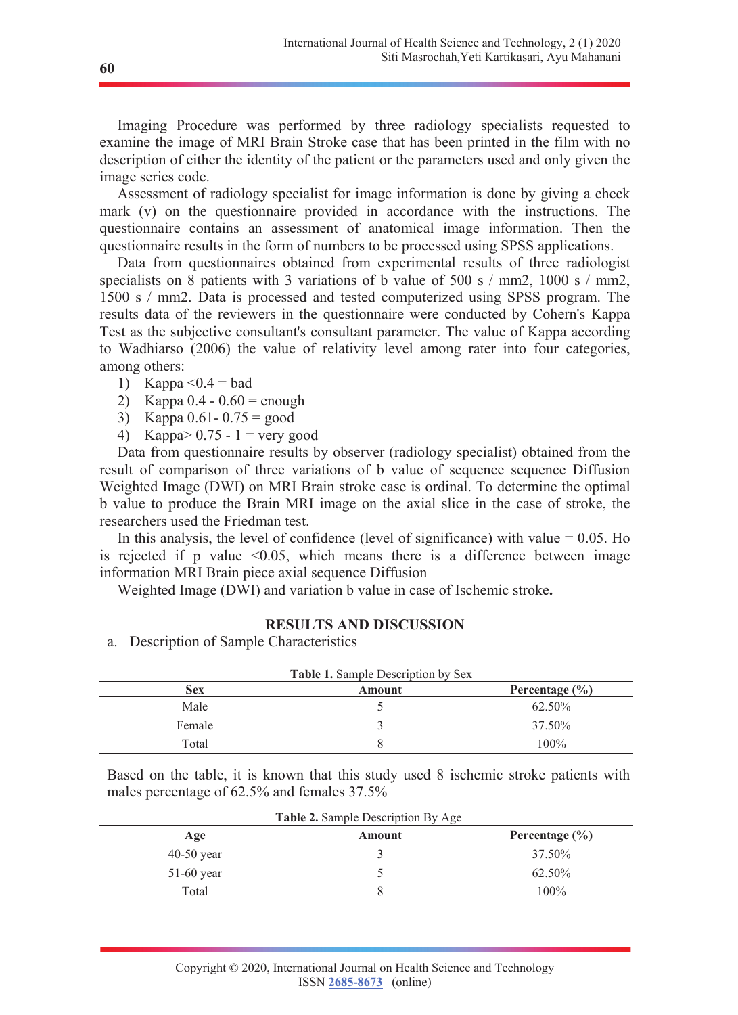Imaging Procedure was performed by three radiology specialists requested to examine the image of MRI Brain Stroke case that has been printed in the film with no description of either the identity of the patient or the parameters used and only given the image series code.

Assessment of radiology specialist for image information is done by giving a check mark (v) on the questionnaire provided in accordance with the instructions. The questionnaire contains an assessment of anatomical image information. Then the questionnaire results in the form of numbers to be processed using SPSS applications.

Data from questionnaires obtained from experimental results of three radiologist specialists on 8 patients with 3 variations of b value of 500 s / mm2, 1000 s / mm2, 1500 s / mm2. Data is processed and tested computerized using SPSS program. The results data of the reviewers in the questionnaire were conducted by Cohern's Kappa Test as the subjective consultant's consultant parameter. The value of Kappa according to Wadhiarso (2006) the value of relativity level among rater into four categories, among others:

- 1) Kappa  $\leq 0.4$  = bad
- 2) Kappa  $0.4 0.60 =$  enough
- 3) Kappa  $0.61 0.75 = \text{good}$
- 4) Kappa >  $0.75 1$  = very good

Data from questionnaire results by observer (radiology specialist) obtained from the result of comparison of three variations of b value of sequence sequence Diffusion Weighted Image (DWI) on MRI Brain stroke case is ordinal. To determine the optimal b value to produce the Brain MRI image on the axial slice in the case of stroke, the researchers used the Friedman test.

In this analysis, the level of confidence (level of significance) with value  $= 0.05$ . Ho is rejected if p value  $\leq 0.05$ , which means there is a difference between image information MRI Brain piece axial sequence Diffusion

Weighted Image (DWI) and variation b value in case of Ischemic stroke**.**

#### **RESULTS AND DISCUSSION**

a. Description of Sample Characteristics

| <b>Table 1.</b> Sample Description by Sex |        |                    |  |
|-------------------------------------------|--------|--------------------|--|
| <b>Sex</b>                                | Amount | Percentage $(\% )$ |  |
| Male                                      |        | 62.50%             |  |
| Female                                    |        | 37.50%             |  |
| Total                                     |        | $100\%$            |  |

Based on the table, it is known that this study used 8 ischemic stroke patients with males percentage of 62.5% and females 37.5%

| <b>Table 2.</b> Sample Description By Age |        |                    |  |
|-------------------------------------------|--------|--------------------|--|
| Age                                       | Amount | Percentage $(\% )$ |  |
| $40-50$ year                              |        | 37.50%             |  |
| $51-60$ year                              |        | 62.50%             |  |
| Total                                     |        | $100\%$            |  |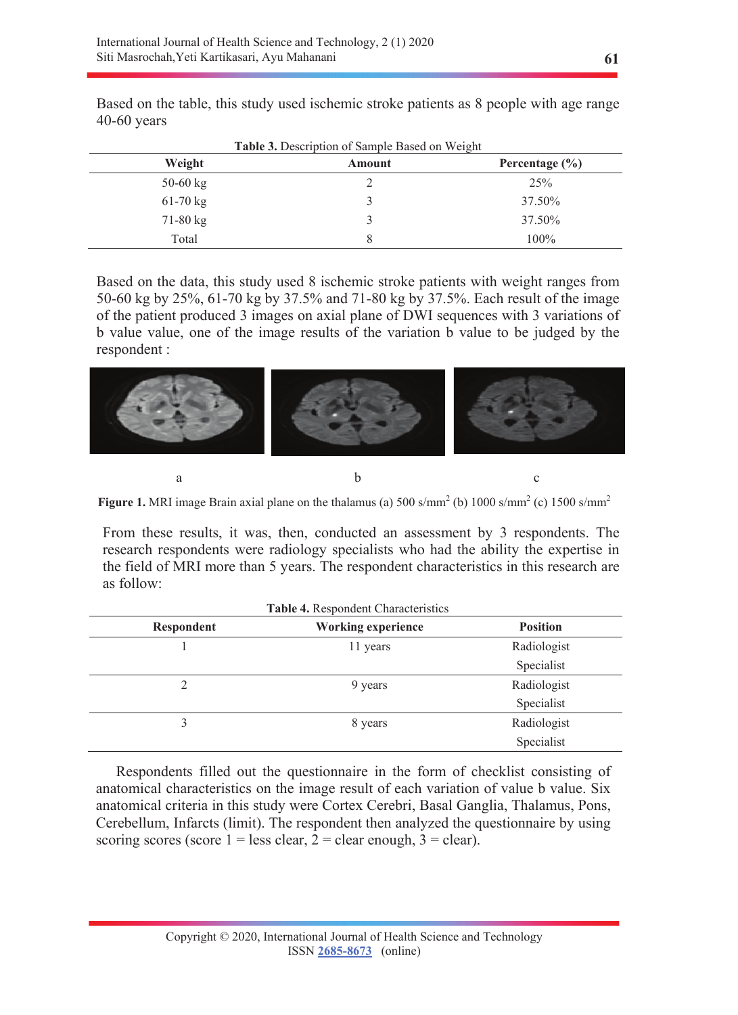Based on the table, this study used ischemic stroke patients as 8 people with age range

| Weight     | Amount | Percentage $(\% )$ |
|------------|--------|--------------------|
| 50-60 $kg$ |        | 25%                |
| $61-70$ kg |        | 37.50%             |
| $71-80$ kg |        | 37.50%             |
| Total      |        | 100%               |

Based on the data, this study used 8 ischemic stroke patients with weight ranges from 50-60 kg by 25%, 61-70 kg by 37.5% and 71-80 kg by 37.5%. Each result of the image of the patient produced 3 images on axial plane of DWI sequences with 3 variations of b value value, one of the image results of the variation b value to be judged by the respondent :



**Figure 1.** MRI image Brain axial plane on the thalamus (a)  $500 \text{ s/mm}^2$  (b)  $1000 \text{ s/mm}^2$  (c)  $1500 \text{ s/mm}^2$ 

From these results, it was, then, conducted an assessment by 3 respondents. The research respondents were radiology specialists who had the ability the expertise in the field of MRI more than 5 years. The respondent characteristics in this research are as follow:

| Respondent     | <b>Working experience</b> | <b>Position</b> |
|----------------|---------------------------|-----------------|
|                | 11 years                  | Radiologist     |
|                |                           | Specialist      |
| $\overline{2}$ | 9 years                   | Radiologist     |
|                |                           | Specialist      |
|                | 8 years                   | Radiologist     |
|                |                           | Specialist      |

Respondents filled out the questionnaire in the form of checklist consisting of anatomical characteristics on the image result of each variation of value b value. Six anatomical criteria in this study were Cortex Cerebri, Basal Ganglia, Thalamus, Pons, Cerebellum, Infarcts (limit). The respondent then analyzed the questionnaire by using scoring scores (score  $1 =$  less clear,  $2 =$  clear enough,  $3 =$  clear).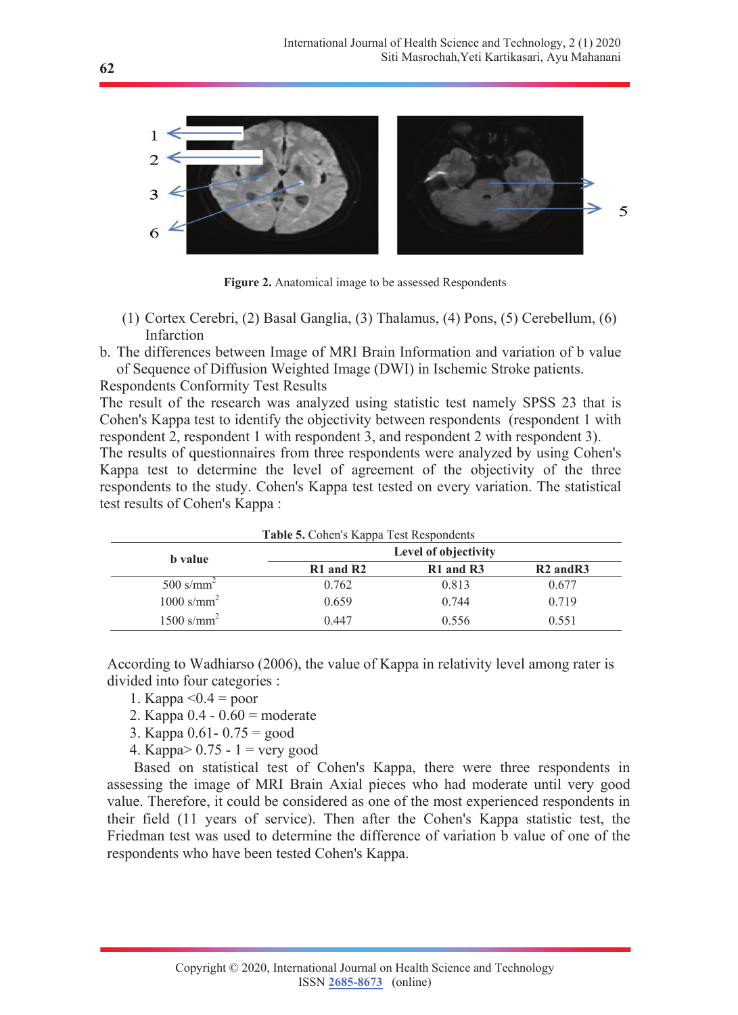



- (1) Cortex Cerebri, (2) Basal Ganglia, (3) Thalamus, (4) Pons, (5) Cerebellum, (6) Infarction
- b. The differences between Image of MRI Brain Information and variation of b value of Sequence of Diffusion Weighted Image (DWI) in Ischemic Stroke patients.

Respondents Conformity Test Results

The result of the research was analyzed using statistic test namely SPSS 23 that is Cohen's Kappa test to identify the objectivity between respondents (respondent 1 with respondent 2, respondent 1 with respondent 3, and respondent 2 with respondent 3).

The results of questionnaires from three respondents were analyzed by using Cohen's Kappa test to determine the level of agreement of the objectivity of the three respondents to the study. Cohen's Kappa test tested on every variation. The statistical test results of Cohen's Kappa :

| <b>Table 5. Cohen's Kappa Test Respondents</b> |                      |           |               |
|------------------------------------------------|----------------------|-----------|---------------|
| <b>b</b> value                                 | Level of objectivity |           |               |
|                                                | $R1$ and $R2$        | R1 and R3 | $R2$ and $R3$ |
| 500 s/mm <sup>2</sup>                          | 0.762                | 0.813     | 0.677         |
| $1000$ s/mm <sup>2</sup>                       | 0.659                | 0.744     | 0.719         |
| $1500$ s/mm <sup>2</sup>                       | 0.447                | 0.556     | 0.551         |

According to Wadhiarso (2006), the value of Kappa in relativity level among rater is divided into four categories :

- 1. Kappa  $\leq 0.4$  = poor
- 2. Kappa 0.4 0.60 = moderate
- 3. Kappa  $0.61 0.75 = \text{good}$
- 4. Kappa $> 0.75 1 =$  very good

Based on statistical test of Cohen's Kappa, there were three respondents in assessing the image of MRI Brain Axial pieces who had moderate until very good value. Therefore, it could be considered as one of the most experienced respondents in their field (11 years of service). Then after the Cohen's Kappa statistic test, the Friedman test was used to determine the difference of variation b value of one of the respondents who have been tested Cohen's Kappa.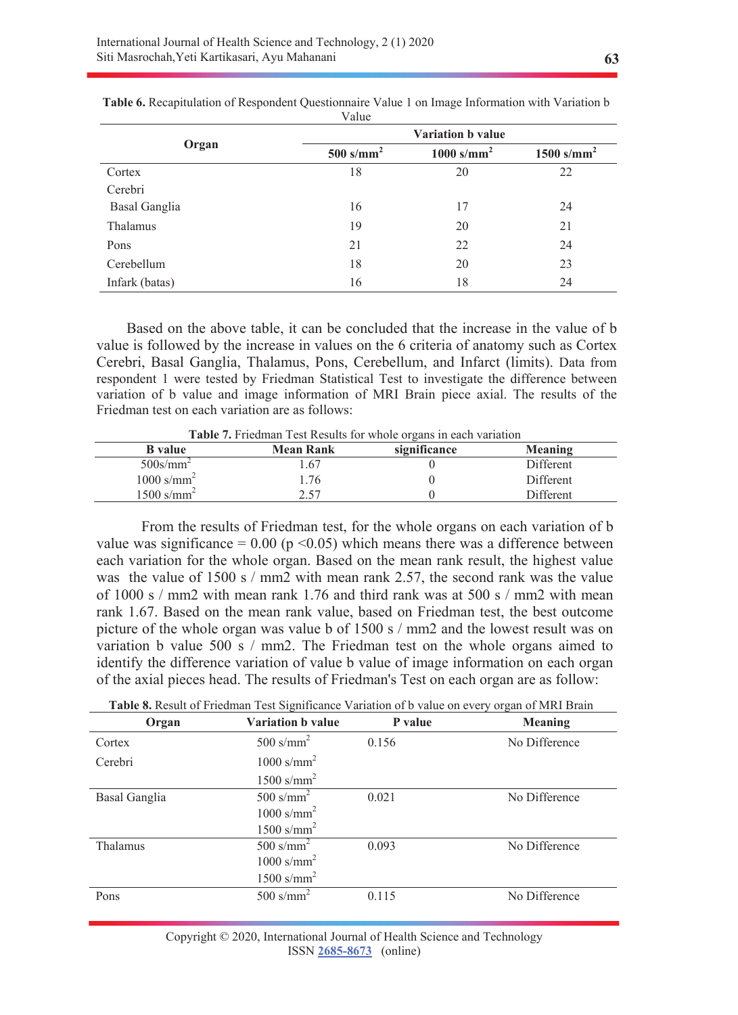|                | Variation b value       |                          |                          |  |
|----------------|-------------------------|--------------------------|--------------------------|--|
| Organ          | $500$ s/mm <sup>2</sup> | $1000$ s/mm <sup>2</sup> | $1500$ s/mm <sup>2</sup> |  |
| Cortex         | 18                      | 20                       | 22                       |  |
| Cerebri        |                         |                          |                          |  |
| Basal Ganglia  | 16                      | 17                       | 24                       |  |
| Thalamus       | 19                      | 20                       | 21                       |  |
| Pons           | 21                      | 22                       | 24                       |  |
| Cerebellum     | 18                      | 20                       | 23                       |  |
| Infark (batas) | 16                      | 18                       | 24                       |  |

**Table 6.** Recapitulation of Respondent Questionnaire Value 1 on Image Information with Variation b Value

Based on the above table, it can be concluded that the increase in the value of b value is followed by the increase in values on the 6 criteria of anatomy such as Cortex Cerebri, Basal Ganglia, Thalamus, Pons, Cerebellum, and Infarct (limits). Data from respondent 1 were tested by Friedman Statistical Test to investigate the difference between variation of b value and image information of MRI Brain piece axial. The results of the Friedman test on each variation are as follows:

**Table 7.** Friedman Test Results for whole organs in each variation

| <b>B</b> value           | <b>Mean Rank</b> | significance | Meaning   |  |
|--------------------------|------------------|--------------|-----------|--|
| $500$ s/mm <sup>2</sup>  | .67              |              | Different |  |
| $1000$ s/mm <sup>2</sup> | .76              |              | Different |  |
| $1500 \text{ s/mm}^2$    | 2.57             |              | Different |  |

From the results of Friedman test, for the whole organs on each variation of b value was significance =  $0.00$  (p < 0.05) which means there was a difference between each variation for the whole organ. Based on the mean rank result, the highest value was the value of 1500 s / mm2 with mean rank 2.57, the second rank was the value of 1000 s / mm2 with mean rank 1.76 and third rank was at 500 s / mm2 with mean rank 1.67. Based on the mean rank value, based on Friedman test, the best outcome picture of the whole organ was value b of 1500 s / mm2 and the lowest result was on variation b value 500 s / mm2. The Friedman test on the whole organs aimed to identify the difference variation of value b value of image information on each organ of the axial pieces head. The results of Friedman's Test on each organ are as follow:

| <b>Table 8.</b> Result of Friedman Test Significance Variation of b value on every organ of MRI Brain |
|-------------------------------------------------------------------------------------------------------|
|-------------------------------------------------------------------------------------------------------|

| Organ         | <b>Variation b value</b> | P value | <b>Meaning</b> |
|---------------|--------------------------|---------|----------------|
| Cortex        | 500 s/mm <sup>2</sup>    | 0.156   | No Difference  |
| Cerebri       | $1000$ s/mm <sup>2</sup> |         |                |
|               | $1500$ s/mm <sup>2</sup> |         |                |
| Basal Ganglia | 500 s/mm <sup>2</sup>    | 0.021   | No Difference  |
|               | $1000$ s/mm <sup>2</sup> |         |                |
|               | $1500$ s/mm <sup>2</sup> |         |                |
| Thalamus      | 500 s/mm <sup>2</sup>    | 0.093   | No Difference  |
|               | $1000$ s/mm <sup>2</sup> |         |                |
|               | $1500$ s/mm <sup>2</sup> |         |                |
| Pons          | 500 s/mm <sup>2</sup>    | 0.115   | No Difference  |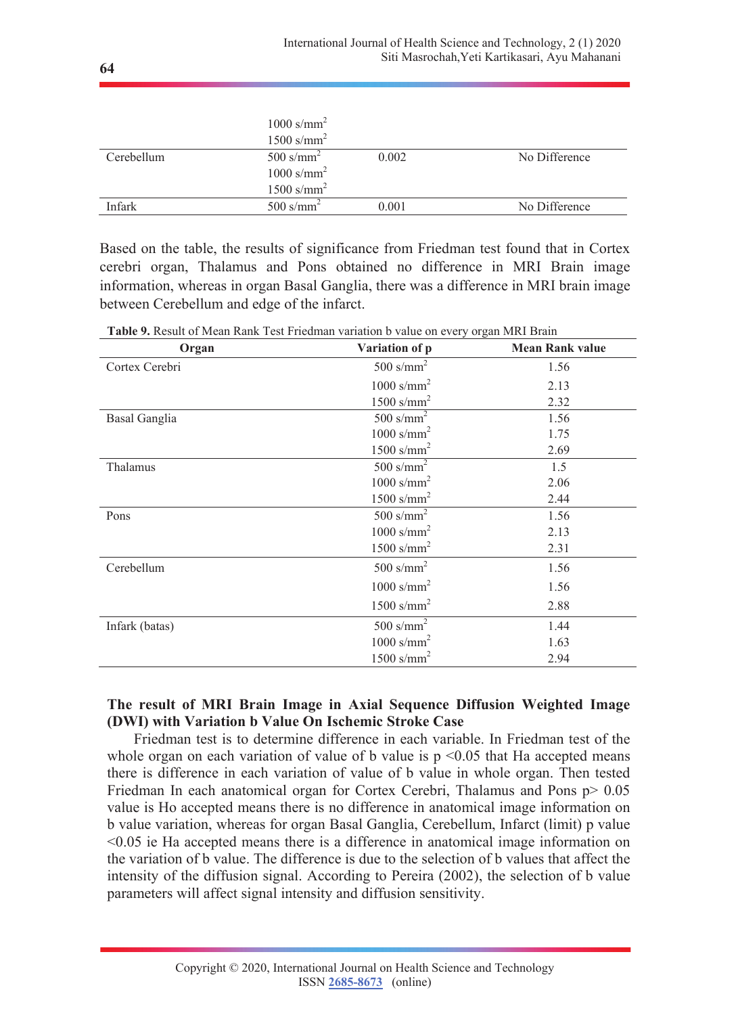|            | $1000$ s/mm <sup>2</sup><br>$1500$ s/mm <sup>2</sup> |       |               |
|------------|------------------------------------------------------|-------|---------------|
| Cerebellum | 500 s/mm <sup>2</sup>                                | 0.002 | No Difference |
|            | $1000$ s/mm <sup>2</sup>                             |       |               |
|            | $1500$ s/mm <sup>2</sup>                             |       |               |
| Infark     | $500$ s/mm <sup>2</sup>                              | 0.001 | No Difference |

Based on the table, the results of significance from Friedman test found that in Cortex cerebri organ, Thalamus and Pons obtained no difference in MRI Brain image information, whereas in organ Basal Ganglia, there was a difference in MRI brain image between Cerebellum and edge of the infarct.

**Table 9.** Result of Mean Rank Test Friedman variation b value on every organ MRI Brain

| Organ                | Variation of p           | <b>Mean Rank value</b> |
|----------------------|--------------------------|------------------------|
| Cortex Cerebri       | 500 s/mm <sup>2</sup>    | 1.56                   |
|                      | $1000$ s/mm <sup>2</sup> | 2.13                   |
|                      | 1500 s/mm <sup>2</sup>   | 2.32                   |
| <b>Basal Ganglia</b> | 500 s/mm <sup>2</sup>    | 1.56                   |
|                      | $1000$ s/mm <sup>2</sup> | 1.75                   |
|                      | $1500$ s/mm <sup>2</sup> | 2.69                   |
| Thalamus             | 500 s/mm <sup>2</sup>    | 1.5                    |
|                      | $1000$ s/mm <sup>2</sup> | 2.06                   |
|                      | $1500$ s/mm <sup>2</sup> | 2.44                   |
| Pons                 | $500$ s/mm <sup>2</sup>  | 1.56                   |
|                      | $1000$ s/mm <sup>2</sup> | 2.13                   |
|                      | 1500 s/mm <sup>2</sup>   | 2.31                   |
| Cerebellum           | 500 s/mm <sup>2</sup>    | 1.56                   |
|                      | $1000$ s/mm <sup>2</sup> | 1.56                   |
|                      | $1500$ s/mm <sup>2</sup> | 2.88                   |
| Infark (batas)       | 500 s/mm <sup>2</sup>    | 1.44                   |
|                      | $1000$ s/mm <sup>2</sup> | 1.63                   |
|                      | $1500$ s/mm <sup>2</sup> | 2.94                   |

# **The result of MRI Brain Image in Axial Sequence Diffusion Weighted Image (DWI) with Variation b Value On Ischemic Stroke Case**

Friedman test is to determine difference in each variable. In Friedman test of the whole organ on each variation of value of b value is  $p \leq 0.05$  that Ha accepted means there is difference in each variation of value of b value in whole organ. Then tested Friedman In each anatomical organ for Cortex Cerebri, Thalamus and Pons p > 0.05 value is Ho accepted means there is no difference in anatomical image information on b value variation, whereas for organ Basal Ganglia, Cerebellum, Infarct (limit) p value <0.05 ie Ha accepted means there is a difference in anatomical image information on the variation of b value. The difference is due to the selection of b values that affect the intensity of the diffusion signal. According to Pereira (2002), the selection of b value parameters will affect signal intensity and diffusion sensitivity.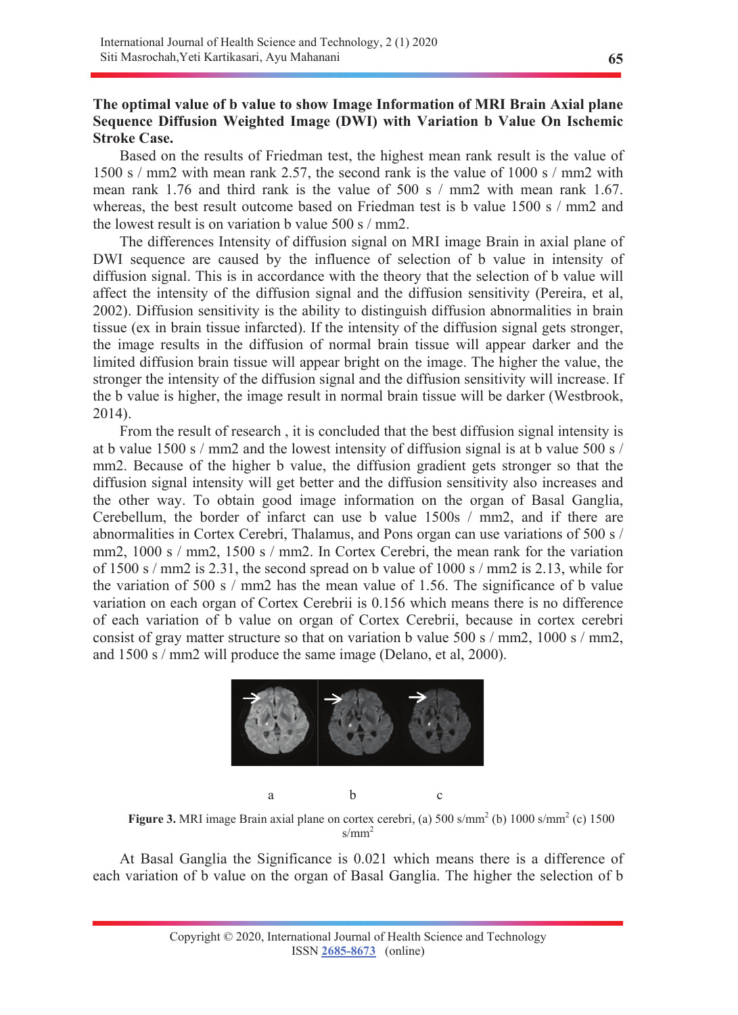# **The optimal value of b value to show Image Information of MRI Brain Axial plane Sequence Diffusion Weighted Image (DWI) with Variation b Value On Ischemic Stroke Case.**

Based on the results of Friedman test, the highest mean rank result is the value of 1500 s / mm2 with mean rank 2.57, the second rank is the value of 1000 s / mm2 with mean rank 1.76 and third rank is the value of 500 s  $/$  mm2 with mean rank 1.67. whereas, the best result outcome based on Friedman test is b value 1500 s / mm2 and the lowest result is on variation b value 500 s / mm2.

The differences Intensity of diffusion signal on MRI image Brain in axial plane of DWI sequence are caused by the influence of selection of b value in intensity of diffusion signal. This is in accordance with the theory that the selection of b value will affect the intensity of the diffusion signal and the diffusion sensitivity (Pereira, et al, 2002). Diffusion sensitivity is the ability to distinguish diffusion abnormalities in brain tissue (ex in brain tissue infarcted). If the intensity of the diffusion signal gets stronger, the image results in the diffusion of normal brain tissue will appear darker and the limited diffusion brain tissue will appear bright on the image. The higher the value, the stronger the intensity of the diffusion signal and the diffusion sensitivity will increase. If the b value is higher, the image result in normal brain tissue will be darker (Westbrook, 2014).

From the result of research , it is concluded that the best diffusion signal intensity is at b value 1500 s / mm2 and the lowest intensity of diffusion signal is at b value 500 s / mm2. Because of the higher b value, the diffusion gradient gets stronger so that the diffusion signal intensity will get better and the diffusion sensitivity also increases and the other way. To obtain good image information on the organ of Basal Ganglia, Cerebellum, the border of infarct can use b value 1500s / mm2, and if there are abnormalities in Cortex Cerebri, Thalamus, and Pons organ can use variations of 500 s / mm2, 1000 s / mm2, 1500 s / mm2. In Cortex Cerebri, the mean rank for the variation of 1500 s / mm2 is 2.31, the second spread on b value of 1000 s / mm2 is 2.13, while for the variation of 500 s / mm2 has the mean value of 1.56. The significance of b value variation on each organ of Cortex Cerebrii is 0.156 which means there is no difference of each variation of b value on organ of Cortex Cerebrii, because in cortex cerebri consist of gray matter structure so that on variation b value 500 s / mm2, 1000 s / mm2, and 1500 s / mm2 will produce the same image (Delano, et al, 2000).



Figure 3. MRI image Brain axial plane on cortex cerebri, (a) 500 s/mm<sup>2</sup> (b) 1000 s/mm<sup>2</sup> (c) 1500  $s/mm^2$ 

At Basal Ganglia the Significance is 0.021 which means there is a difference of each variation of b value on the organ of Basal Ganglia. The higher the selection of b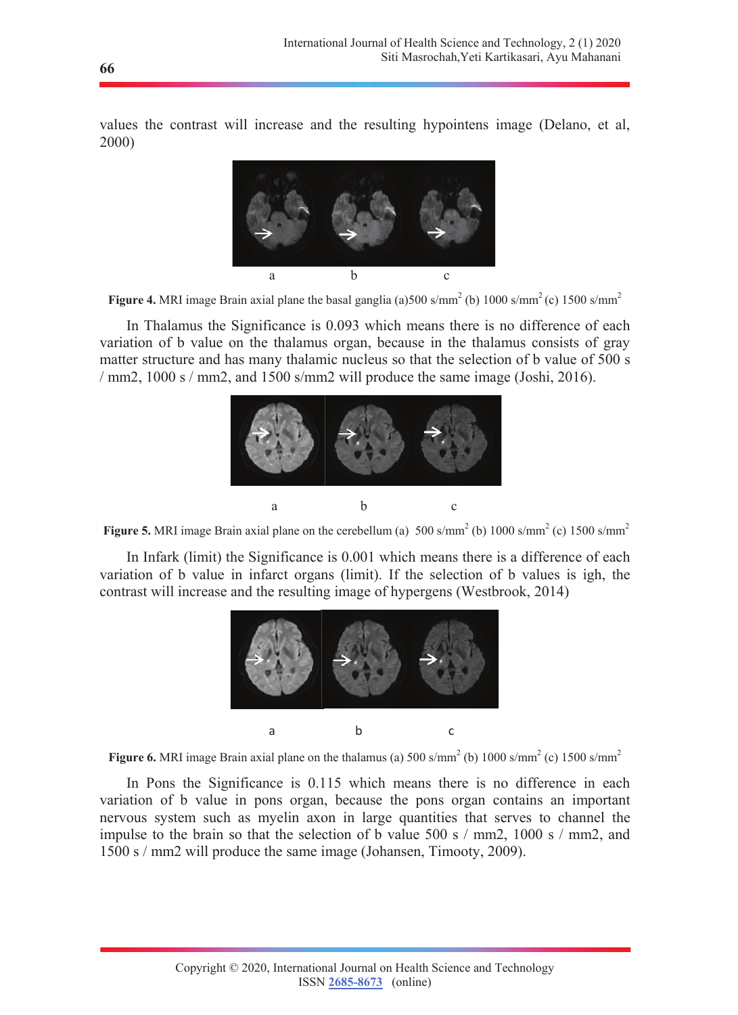values the contrast will increase and the resulting hypointens image (Delano, et al, 2000)



**Figure 4.** MRI image Brain axial plane the basal ganglia (a) 500 s/mm<sup>2</sup> (b) 1000 s/mm<sup>2</sup> (c) 1500 s/mm<sup>2</sup>

In Thalamus the Significance is 0.093 which means there is no difference of each variation of b value on the thalamus organ, because in the thalamus consists of gray matter structure and has many thalamic nucleus so that the selection of b value of 500 s / mm2, 1000 s / mm2, and 1500 s/mm2 will produce the same image (Joshi, 2016).



**Figure 5.** MRI image Brain axial plane on the cerebellum (a)  $500 \text{ s/mm}^2$  (b)  $1000 \text{ s/mm}^2$  (c)  $1500 \text{ s/mm}^2$ 

In Infark (limit) the Significance is 0.001 which means there is a difference of each variation of b value in infarct organs (limit). If the selection of b values is igh, the contrast will increase and the resulting image of hypergens (Westbrook, 2014)





In Pons the Significance is 0.115 which means there is no difference in each variation of b value in pons organ, because the pons organ contains an important nervous system such as myelin axon in large quantities that serves to channel the impulse to the brain so that the selection of b value 500 s / mm2, 1000 s / mm2, and 1500 s / mm2 will produce the same image (Johansen, Timooty, 2009).